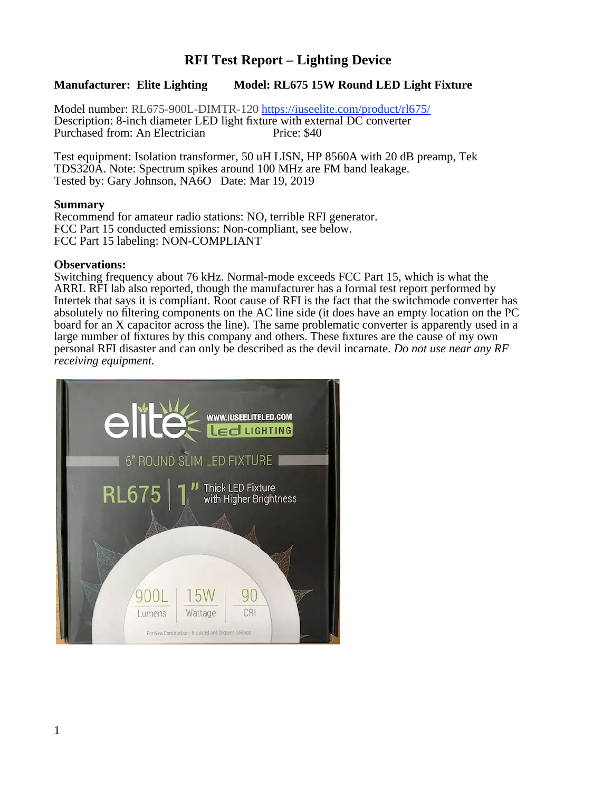## **RFI Test Report – Lighting Device**

### **Manufacturer: Elite Lighting Model: RL675 15W Round LED Light Fixture**

Model number: RL675-900L-DIMTR-120 https://iuseelite.com/product/rl675/ Description: 8-inch diameter LED light fixture with external DC converter Purchased from: An Electrician

Test equipment: Isolation transformer, 50 uH LISN, HP 8560A with 20 dB preamp, Tek TDS320A. Note: Spectrum spikes around 100 MHz are FM band leakage. Tested by: Gary Johnson, NA6O Date: Mar 19, 2019

#### **Summary**

Recommend for amateur radio stations: NO, terrible RFI generator. FCC Part 15 conducted emissions: Non-compliant, see below. FCC Part 15 labeling: NON-COMPLIANT

#### **Observations:**

Switching frequency about 76 kHz. Normal-mode exceeds FCC Part 15, which is what the ARRL RFI lab also reported, though the manufacturer has a formal test report performed by Intertek that says it is compliant. Root cause of RFI is the fact that the switchmode converter has absolutely no filtering components on the AC line side (it does have an empty location on the PC board for an X capacitor across the line). The same problematic converter is apparently used in a large number of fixtures by this company and others. These fixtures are the cause of my own personal RFI disaster and can only be described as the devil incarnate. *Do not use near any RF receiving equipment.*

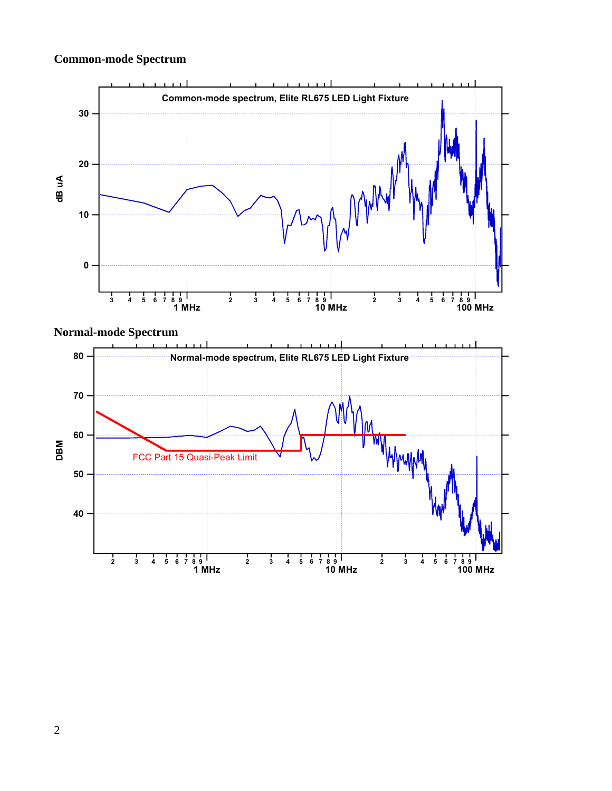# **Common-mode Spectrum**



## **Normal-mode Spectrum**